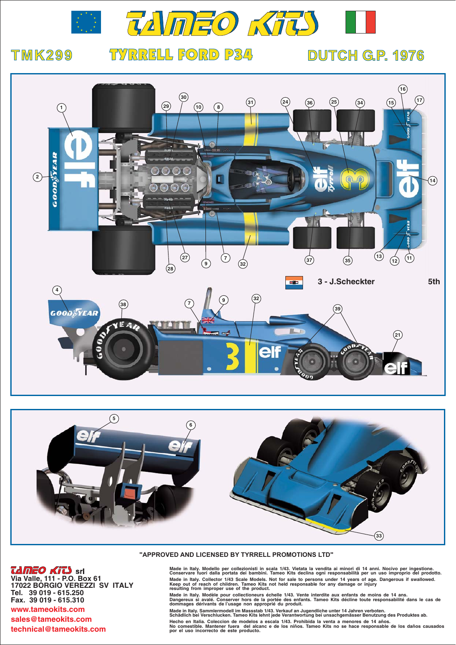

## **TMK299**

## **TYRRELL FORD P34**

## **DUTCH G.P. 1976**





## "APPROVED AND LICENSED BY TYRRELL PROMOTIONS LTD"

Made in Italy. Modello per collezionisti in scala 1/43. Vietata la vendita ai minori di 14 anni. Nocivo per ingestione.<br>Conservare fuori dalla portata dei bambini. Tameo Kits declina ogni responsabilità per un uso impropri

Made in Italy. Modèle pour collectioneurs échelle 1/43. Vente interdite aux enfants de moins de 14 ans.<br>Dangereux si avalé. Conserver hors de la portée des enfants. Tameo Kits décline toute responsabilité dans le cas de<br>do

uommages derreames de russer uom approprio de productionale anticipation de la Jahren verboten.<br>Made in Italy, Sammlermodell im Massstab 1/43. Verkauf an Jugendliche unter 14 Jahren verboten.<br>Schädlich bei Verschlucken. Ta Hecho en Italia. Colección de módelos a escala 1/43. Prohibida la venta a menores de 14 años.<br>No comestible. Mantener fuera del alcanc e de los niños. Tameo Kits no se hace responsable de los daños causados<br>por el uso inco

sales@tameokits.com technical@tameokits.com

Tel. 39 019 - 615.250<br>Fax. 39 019 - 615.310

www.tameokits.com

**TAMEO KITS** srl<br>Via Valle, 111 - P.O. Box 61<br>17022 BORGIO VEREZZI SV ITALY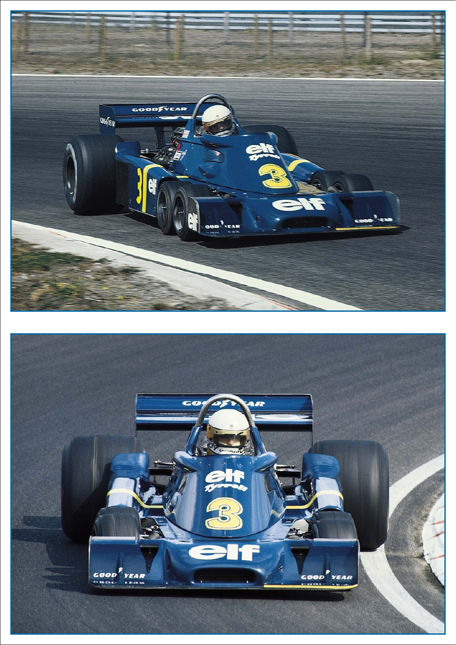

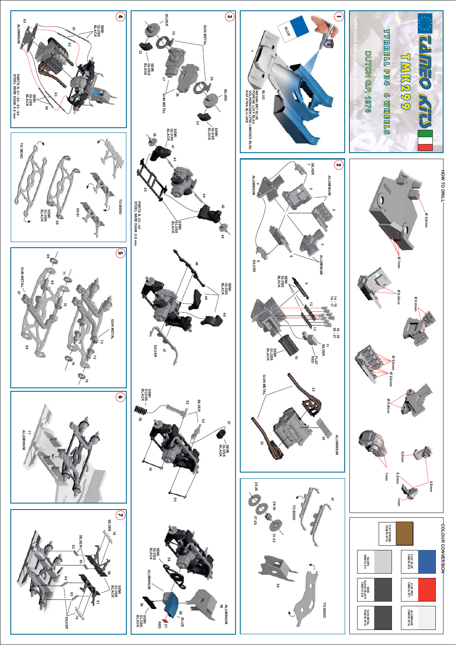